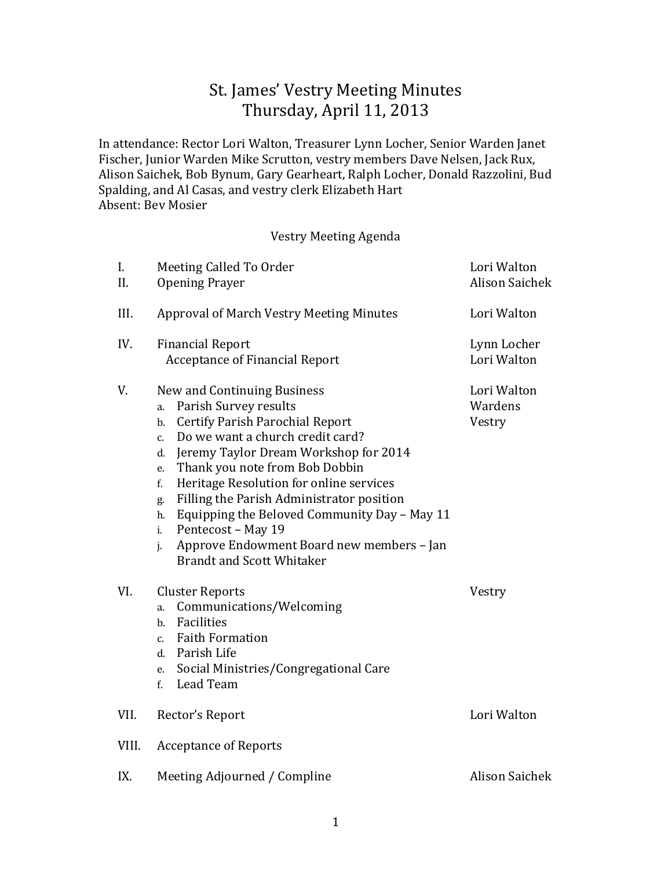# St. James' Vestry Meeting Minutes Thursday, April 11, 2013

In attendance: Rector Lori Walton, Treasurer Lynn Locher, Senior Warden Janet Fischer, Junior Warden Mike Scrutton, vestry members Dave Nelsen, Jack Rux, Alison Saichek, Bob Bynum, Gary Gearheart, Ralph Locher, Donald Razzolini, Bud Spalding, and Al Casas, and vestry clerk Elizabeth Hart Absent: Bev Mosier

#### Vestry Meeting Agenda

| I.<br>II. | Meeting Called To Order<br><b>Opening Prayer</b>                                                                                                                                                                                                                                                                                                                                                                                                                                                                            | Lori Walton<br><b>Alison Saichek</b> |
|-----------|-----------------------------------------------------------------------------------------------------------------------------------------------------------------------------------------------------------------------------------------------------------------------------------------------------------------------------------------------------------------------------------------------------------------------------------------------------------------------------------------------------------------------------|--------------------------------------|
| III.      | <b>Approval of March Vestry Meeting Minutes</b>                                                                                                                                                                                                                                                                                                                                                                                                                                                                             | Lori Walton                          |
| IV.       | <b>Financial Report</b><br><b>Acceptance of Financial Report</b>                                                                                                                                                                                                                                                                                                                                                                                                                                                            | Lynn Locher<br>Lori Walton           |
| V.        | New and Continuing Business<br>Parish Survey results<br>a.<br><b>Certify Parish Parochial Report</b><br>$b$ .<br>Do we want a church credit card?<br>c.<br>Jeremy Taylor Dream Workshop for 2014<br>d.<br>Thank you note from Bob Dobbin<br>e.<br>Heritage Resolution for online services<br>f.<br>Filling the Parish Administrator position<br>g.<br>Equipping the Beloved Community Day - May 11<br>h.<br>Pentecost - May 19<br>i.<br>Approve Endowment Board new members - Jan<br>j.<br><b>Brandt and Scott Whitaker</b> | Lori Walton<br>Wardens<br>Vestry     |
| VI.       | <b>Cluster Reports</b><br>Communications/Welcoming<br>a.<br>Facilities<br>b.<br><b>Faith Formation</b><br>c.<br>d. Parish Life<br>Social Ministries/Congregational Care<br>e.<br>Lead Team<br>f.                                                                                                                                                                                                                                                                                                                            | Vestry                               |
| VII.      | Rector's Report                                                                                                                                                                                                                                                                                                                                                                                                                                                                                                             | Lori Walton                          |
| VIII.     | <b>Acceptance of Reports</b>                                                                                                                                                                                                                                                                                                                                                                                                                                                                                                |                                      |
| IX.       | Meeting Adjourned / Compline                                                                                                                                                                                                                                                                                                                                                                                                                                                                                                | <b>Alison Saichek</b>                |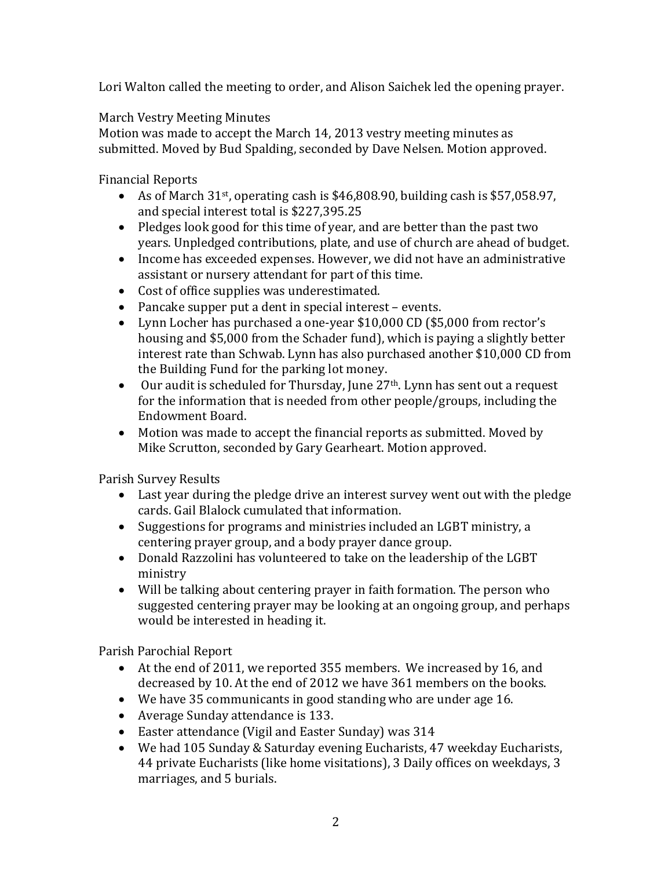Lori Walton called the meeting to order, and Alison Saichek led the opening prayer.

## March Vestry Meeting Minutes

Motion was made to accept the March 14, 2013 vestry meeting minutes as submitted. Moved by Bud Spalding, seconded by Dave Nelsen. Motion approved.

Financial Reports

- As of March  $31st$ , operating cash is \$46,808.90, building cash is \$57,058.97, and special interest total is \$227,395.25
- Pledges look good for this time of year, and are better than the past two years. Unpledged contributions, plate, and use of church are ahead of budget.
- Income has exceeded expenses. However, we did not have an administrative assistant or nursery attendant for part of this time.
- Cost of office supplies was underestimated.
- Pancake supper put a dent in special interest events.
- Lynn Locher has purchased a one-year \$10,000 CD (\$5,000 from rector's housing and \$5,000 from the Schader fund), which is paying a slightly better interest rate than Schwab. Lynn has also purchased another \$10,000 CD from the Building Fund for the parking lot money.
- Our audit is scheduled for Thursday, June 27<sup>th</sup>. Lynn has sent out a request for the information that is needed from other people/groups, including the Endowment Board.
- Motion was made to accept the financial reports as submitted. Moved by Mike Scrutton, seconded by Gary Gearheart. Motion approved.

Parish Survey Results

- Last year during the pledge drive an interest survey went out with the pledge cards. Gail Blalock cumulated that information.
- Suggestions for programs and ministries included an LGBT ministry, a centering prayer group, and a body prayer dance group.
- Donald Razzolini has volunteered to take on the leadership of the LGBT ministry
- Will be talking about centering prayer in faith formation. The person who suggested centering prayer may be looking at an ongoing group, and perhaps would be interested in heading it.

Parish Parochial Report

- At the end of 2011, we reported 355 members. We increased by 16, and decreased by 10. At the end of 2012 we have 361 members on the books.
- We have 35 communicants in good standing who are under age 16.
- Average Sunday attendance is 133.
- Easter attendance (Vigil and Easter Sunday) was 314
- We had 105 Sunday & Saturday evening Eucharists, 47 weekday Eucharists, 44 private Eucharists (like home visitations), 3 Daily offices on weekdays, 3 marriages, and 5 burials.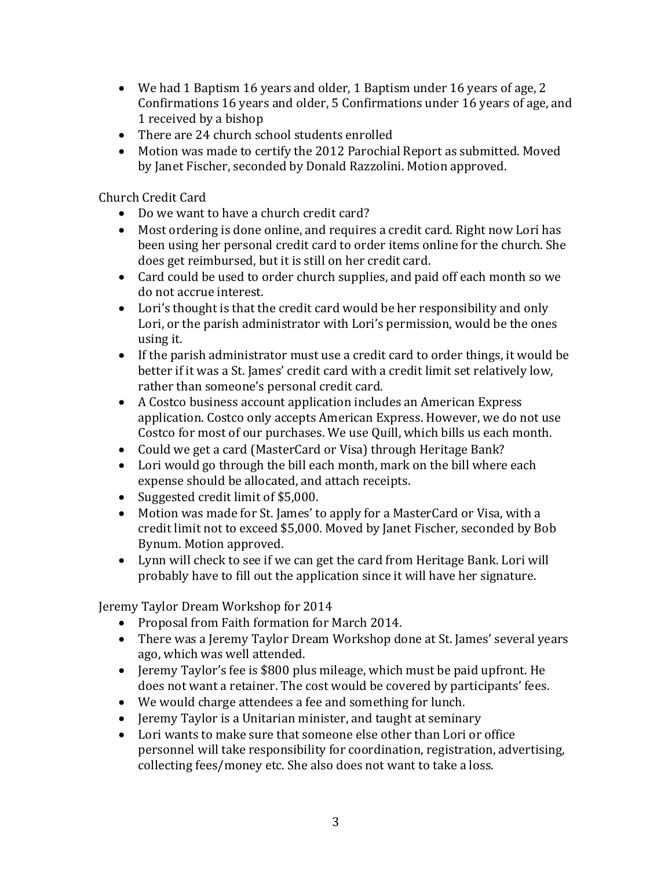- We had 1 Baptism 16 years and older, 1 Baptism under 16 years of age, 2 Confirmations 16 years and older, 5 Confirmations under 16 years of age, and 1 received by a bishop
- There are 24 church school students enrolled
- Motion was made to certify the 2012 Parochial Report as submitted. Moved by Janet Fischer, seconded by Donald Razzolini. Motion approved.

Church Credit Card

- Do we want to have a church credit card?
- Most ordering is done online, and requires a credit card. Right now Lori has been using her personal credit card to order items online for the church. She does get reimbursed, but it is still on her credit card.
- Card could be used to order church supplies, and paid off each month so we do not accrue interest.
- Lori's thought is that the credit card would be her responsibility and only Lori, or the parish administrator with Lori's permission, would be the ones using it.
- If the parish administrator must use a credit card to order things, it would be better if it was a St. James' credit card with a credit limit set relatively low, rather than someone's personal credit card.
- A Costco business account application includes an American Express application. Costco only accepts American Express. However, we do not use Costco for most of our purchases. We use Quill, which bills us each month.
- Could we get a card (MasterCard or Visa) through Heritage Bank?
- Lori would go through the bill each month, mark on the bill where each expense should be allocated, and attach receipts.
- Suggested credit limit of \$5,000.
- Motion was made for St. James' to apply for a MasterCard or Visa, with a credit limit not to exceed \$5,000. Moved by Janet Fischer, seconded by Bob Bynum. Motion approved.
- Lynn will check to see if we can get the card from Heritage Bank. Lori will probably have to fill out the application since it will have her signature.

Jeremy Taylor Dream Workshop for 2014

- Proposal from Faith formation for March 2014.
- There was a Jeremy Taylor Dream Workshop done at St. James' several years ago, which was well attended.
- Jeremy Taylor's fee is \$800 plus mileage, which must be paid upfront. He does not want a retainer. The cost would be covered by participants' fees.
- We would charge attendees a fee and something for lunch.
- Jeremy Taylor is a Unitarian minister, and taught at seminary
- Lori wants to make sure that someone else other than Lori or office personnel will take responsibility for coordination, registration, advertising, collecting fees/money etc. She also does not want to take a loss.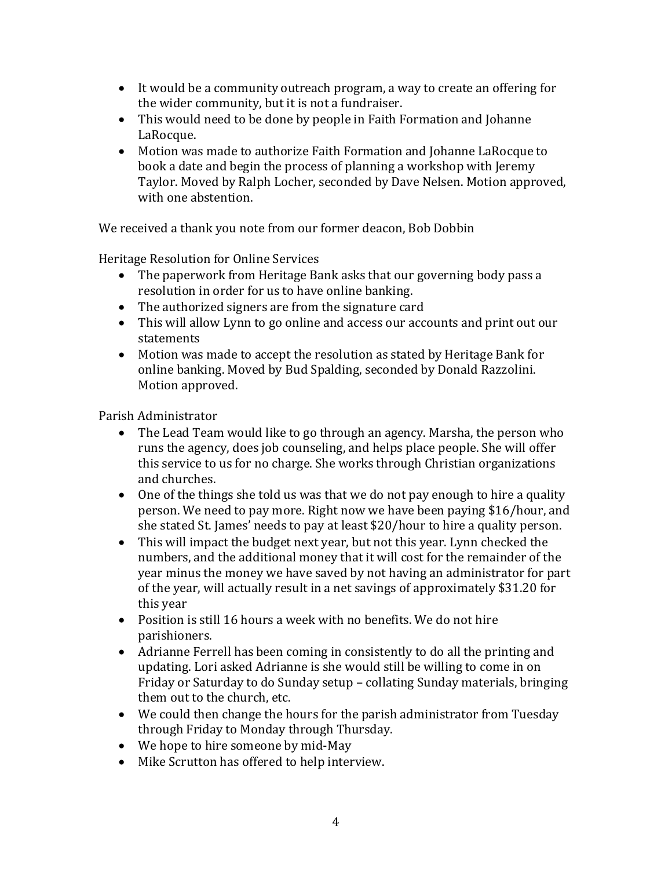- It would be a community outreach program, a way to create an offering for the wider community, but it is not a fundraiser.
- This would need to be done by people in Faith Formation and Johanne LaRocque.
- Motion was made to authorize Faith Formation and Johanne LaRocque to book a date and begin the process of planning a workshop with Jeremy Taylor. Moved by Ralph Locher, seconded by Dave Nelsen. Motion approved, with one abstention.

We received a thank you note from our former deacon, Bob Dobbin

Heritage Resolution for Online Services

- The paperwork from Heritage Bank asks that our governing body pass a resolution in order for us to have online banking.
- The authorized signers are from the signature card
- This will allow Lynn to go online and access our accounts and print out our statements
- Motion was made to accept the resolution as stated by Heritage Bank for online banking. Moved by Bud Spalding, seconded by Donald Razzolini. Motion approved.

Parish Administrator

- The Lead Team would like to go through an agency. Marsha, the person who runs the agency, does job counseling, and helps place people. She will offer this service to us for no charge. She works through Christian organizations and churches.
- One of the things she told us was that we do not pay enough to hire a quality person. We need to pay more. Right now we have been paying \$16/hour, and she stated St. James' needs to pay at least \$20/hour to hire a quality person.
- This will impact the budget next year, but not this year. Lynn checked the numbers, and the additional money that it will cost for the remainder of the year minus the money we have saved by not having an administrator for part of the year, will actually result in a net savings of approximately \$31.20 for this year
- Position is still 16 hours a week with no benefits. We do not hire parishioners.
- Adrianne Ferrell has been coming in consistently to do all the printing and updating. Lori asked Adrianne is she would still be willing to come in on Friday or Saturday to do Sunday setup – collating Sunday materials, bringing them out to the church, etc.
- We could then change the hours for the parish administrator from Tuesday through Friday to Monday through Thursday.
- We hope to hire someone by mid-May
- Mike Scrutton has offered to help interview.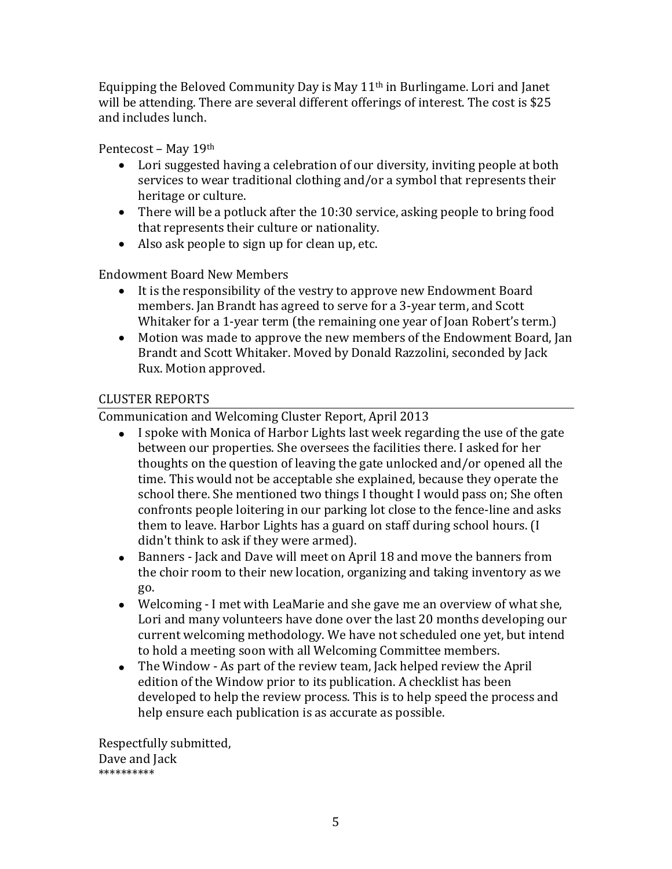Equipping the Beloved Community Day is May  $11<sup>th</sup>$  in Burlingame. Lori and Janet will be attending. There are several different offerings of interest. The cost is \$25 and includes lunch.

Pentecost – May 19th

- Lori suggested having a celebration of our diversity, inviting people at both services to wear traditional clothing and/or a symbol that represents their heritage or culture.
- There will be a potluck after the 10:30 service, asking people to bring food that represents their culture or nationality.
- Also ask people to sign up for clean up, etc.

Endowment Board New Members

- It is the responsibility of the vestry to approve new Endowment Board members. Jan Brandt has agreed to serve for a 3-year term, and Scott Whitaker for a 1-year term (the remaining one year of Joan Robert's term.)
- Motion was made to approve the new members of the Endowment Board, Jan Brandt and Scott Whitaker. Moved by Donald Razzolini, seconded by Jack Rux. Motion approved.

## CLUSTER REPORTS

Communication and Welcoming Cluster Report, April 2013

- I spoke with Monica of Harbor Lights last week regarding the use of the gate between our properties. She oversees the facilities there. I asked for her thoughts on the question of leaving the gate unlocked and/or opened all the time. This would not be acceptable she explained, because they operate the school there. She mentioned two things I thought I would pass on; She often confronts people loitering in our parking lot close to the fence-line and asks them to leave. Harbor Lights has a guard on staff during school hours. (I didn't think to ask if they were armed).
- Banners Jack and Dave will meet on April 18 and move the banners from the choir room to their new location, organizing and taking inventory as we go.
- Welcoming I met with LeaMarie and she gave me an overview of what she, Lori and many volunteers have done over the last 20 months developing our current welcoming methodology. We have not scheduled one yet, but intend to hold a meeting soon with all Welcoming Committee members.
- The Window As part of the review team, Jack helped review the April edition of the Window prior to its publication. A checklist has been developed to help the review process. This is to help speed the process and help ensure each publication is as accurate as possible.

Respectfully submitted, Dave and Jack \*\*\*\*\*\*\*\*\*\*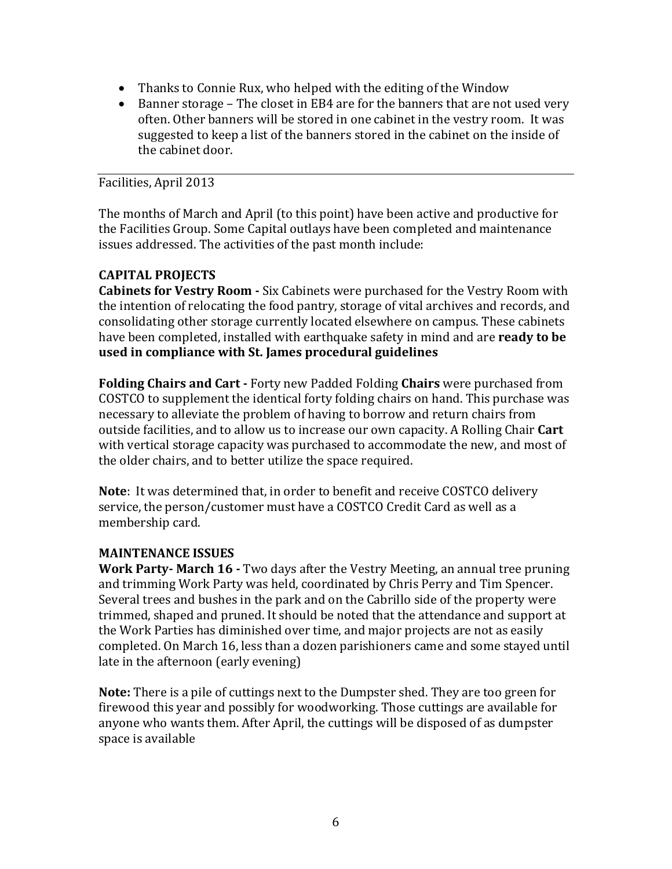- Thanks to Connie Rux, who helped with the editing of the Window
- Banner storage The closet in EB4 are for the banners that are not used very often. Other banners will be stored in one cabinet in the vestry room. It was suggested to keep a list of the banners stored in the cabinet on the inside of the cabinet door.

#### Facilities, April 2013

The months of March and April (to this point) have been active and productive for the Facilities Group. Some Capital outlays have been completed and maintenance issues addressed. The activities of the past month include:

#### **CAPITAL PROJECTS**

**Cabinets for Vestry Room -** Six Cabinets were purchased for the Vestry Room with the intention of relocating the food pantry, storage of vital archives and records, and consolidating other storage currently located elsewhere on campus. These cabinets have been completed, installed with earthquake safety in mind and are **ready to be used in compliance with St. James procedural guidelines**

**Folding Chairs and Cart -** Forty new Padded Folding **Chairs** were purchased from COSTCO to supplement the identical forty folding chairs on hand. This purchase was necessary to alleviate the problem of having to borrow and return chairs from outside facilities, and to allow us to increase our own capacity. A Rolling Chair **Cart** with vertical storage capacity was purchased to accommodate the new, and most of the older chairs, and to better utilize the space required.

**Note**: It was determined that, in order to benefit and receive COSTCO delivery service, the person/customer must have a COSTCO Credit Card as well as a membership card.

#### **MAINTENANCE ISSUES**

**Work Party- March 16 -** Two days after the Vestry Meeting, an annual tree pruning and trimming Work Party was held, coordinated by Chris Perry and Tim Spencer. Several trees and bushes in the park and on the Cabrillo side of the property were trimmed, shaped and pruned. It should be noted that the attendance and support at the Work Parties has diminished over time, and major projects are not as easily completed. On March 16, less than a dozen parishioners came and some stayed until late in the afternoon (early evening)

**Note:** There is a pile of cuttings next to the Dumpster shed. They are too green for firewood this year and possibly for woodworking. Those cuttings are available for anyone who wants them. After April, the cuttings will be disposed of as dumpster space is available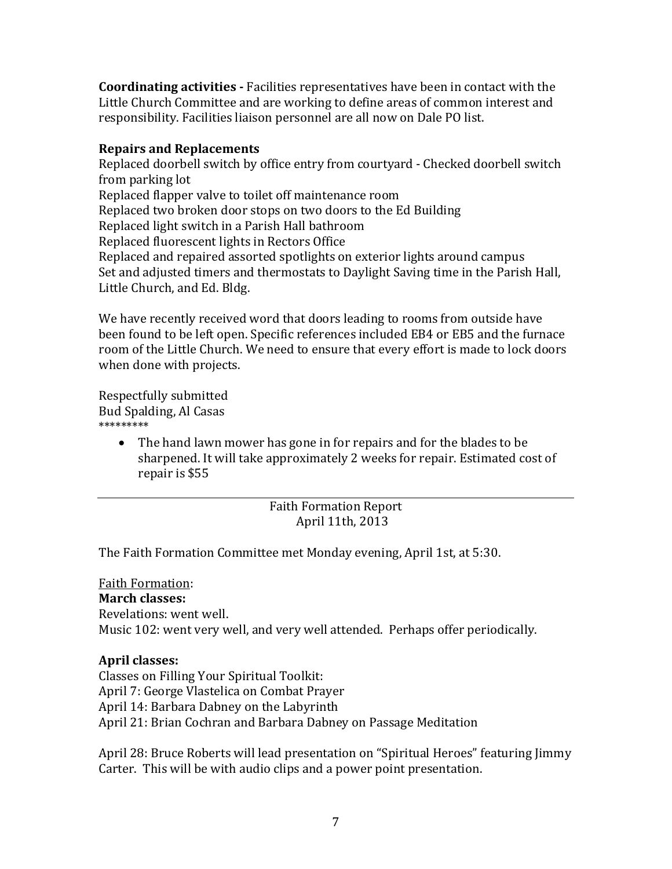**Coordinating activities -** Facilities representatives have been in contact with the Little Church Committee and are working to define areas of common interest and responsibility. Facilities liaison personnel are all now on Dale PO list.

#### **Repairs and Replacements**

Replaced doorbell switch by office entry from courtyard - Checked doorbell switch from parking lot Replaced flapper valve to toilet off maintenance room Replaced two broken door stops on two doors to the Ed Building Replaced light switch in a Parish Hall bathroom Replaced fluorescent lights in Rectors Office Replaced and repaired assorted spotlights on exterior lights around campus Set and adjusted timers and thermostats to Daylight Saving time in the Parish Hall, Little Church, and Ed. Bldg.

We have recently received word that doors leading to rooms from outside have been found to be left open. Specific references included EB4 or EB5 and the furnace room of the Little Church. We need to ensure that every effort is made to lock doors when done with projects.

Respectfully submitted Bud Spalding, Al Casas \*\*\*\*\*\*\*\*\*

> • The hand lawn mower has gone in for repairs and for the blades to be sharpened. It will take approximately 2 weeks for repair. Estimated cost of repair is \$55

#### Faith Formation Report April 11th, 2013

The Faith Formation Committee met Monday evening, April 1st, at 5:30.

Faith Formation: **March classes:** Revelations: went well. Music 102: went very well, and very well attended. Perhaps offer periodically.

#### **April classes:**

Classes on Filling Your Spiritual Toolkit: April 7: George Vlastelica on Combat Prayer April 14: Barbara Dabney on the Labyrinth April 21: Brian Cochran and Barbara Dabney on Passage Meditation

April 28: Bruce Roberts will lead presentation on "Spiritual Heroes" featuring Jimmy Carter. This will be with audio clips and a power point presentation.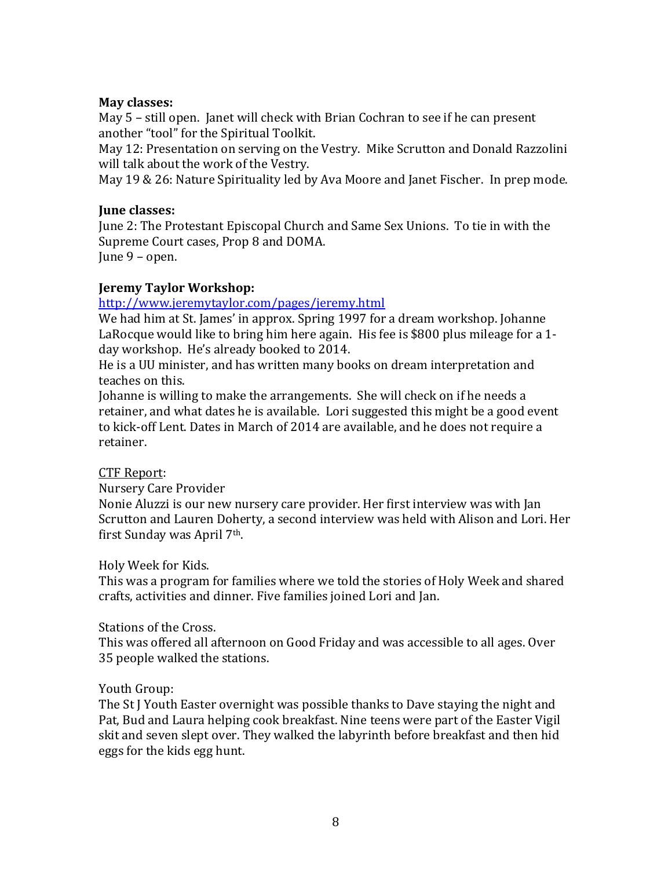#### **May classes:**

May 5 – still open. Janet will check with Brian Cochran to see if he can present another "tool" for the Spiritual Toolkit.

May 12: Presentation on serving on the Vestry. Mike Scrutton and Donald Razzolini will talk about the work of the Vestry.

May 19 & 26: Nature Spirituality led by Ava Moore and Janet Fischer. In prep mode.

#### **June classes:**

June 2: The Protestant Episcopal Church and Same Sex Unions. To tie in with the Supreme Court cases, Prop 8 and DOMA. June 9 – open.

# **Jeremy Taylor Workshop:**

#### <http://www.jeremytaylor.com/pages/jeremy.html>

We had him at St. James' in approx. Spring 1997 for a dream workshop. Johanne LaRocque would like to bring him here again. His fee is \$800 plus mileage for a 1 day workshop. He's already booked to 2014.

He is a UU minister, and has written many books on dream interpretation and teaches on this.

Johanne is willing to make the arrangements. She will check on if he needs a retainer, and what dates he is available. Lori suggested this might be a good event to kick-off Lent. Dates in March of 2014 are available, and he does not require a retainer.

#### CTF Report:

Nursery Care Provider

Nonie Aluzzi is our new nursery care provider. Her first interview was with Jan Scrutton and Lauren Doherty, a second interview was held with Alison and Lori. Her first Sunday was April 7th.

#### Holy Week for Kids.

This was a program for families where we told the stories of Holy Week and shared crafts, activities and dinner. Five families joined Lori and Jan.

#### Stations of the Cross.

This was offered all afternoon on Good Friday and was accessible to all ages. Over 35 people walked the stations.

#### Youth Group:

The St J Youth Easter overnight was possible thanks to Dave staying the night and Pat, Bud and Laura helping cook breakfast. Nine teens were part of the Easter Vigil skit and seven slept over. They walked the labyrinth before breakfast and then hid eggs for the kids egg hunt.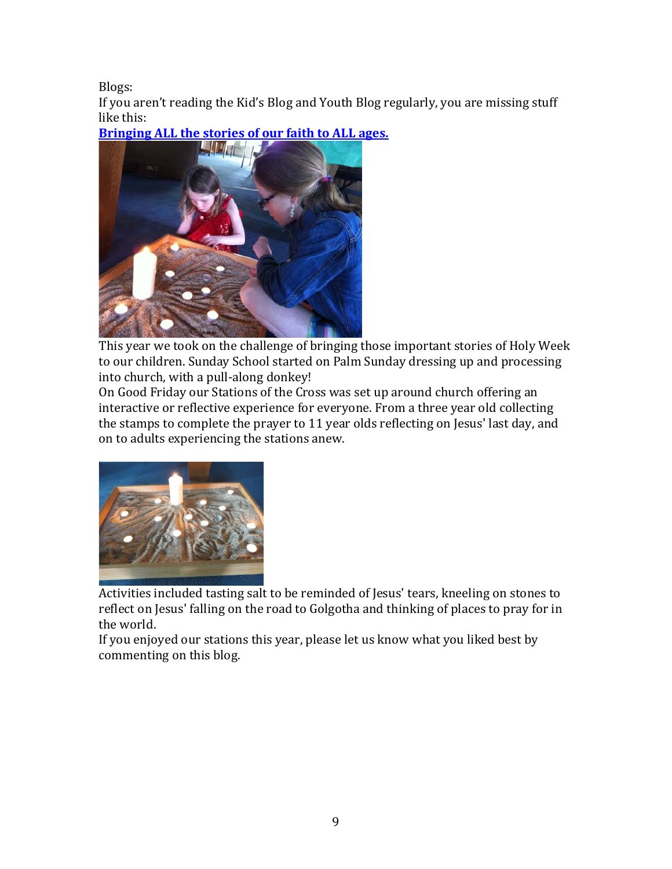Blogs:

If you aren't reading the Kid's Blog and Youth Blog regularly, you are missing stuff like this:



**[Bringing ALL the stories of our faith to ALL ages.](http://saintjkids.blogspot.com/2013/04/bringing-all-stories-of-our-faith-to.html)**

This year we took on the challenge of bringing those important stories of Holy Week to our children. Sunday School started on Palm Sunday dressing up and processing into church, with a pull-along donkey!

On Good Friday our Stations of the Cross was set up around church offering an interactive or reflective experience for everyone. From a three year old collecting the stamps to complete the prayer to 11 year olds reflecting on Jesus' last day, and on to adults experiencing the stations anew.



Activities included tasting salt to be reminded of Jesus' tears, kneeling on stones to reflect on Jesus' falling on the road to Golgotha and thinking of places to pray for in the world.

If you enjoyed our stations this year, please let us know what you liked best by commenting on this blog.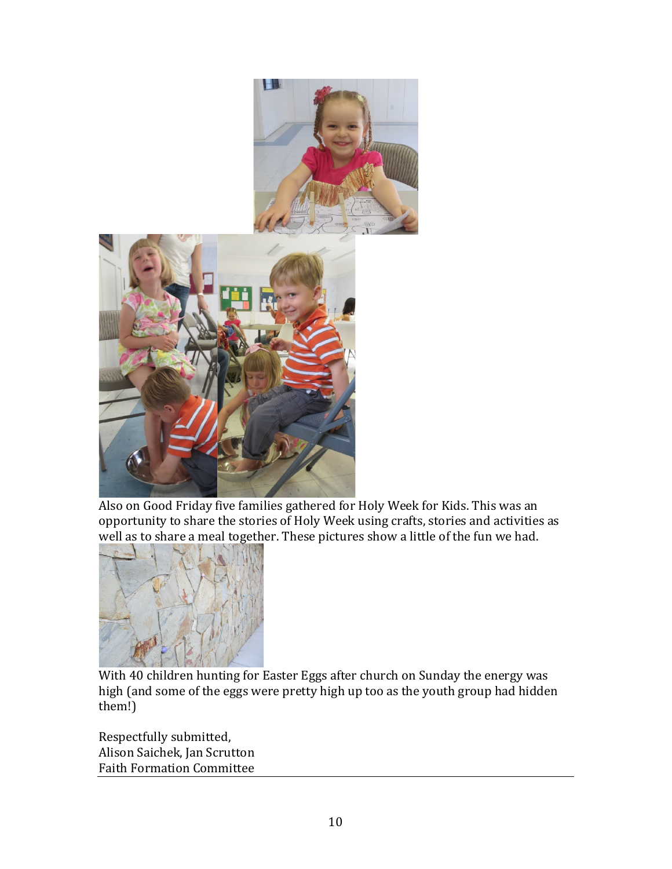

Also on Good Friday five families gathered for Holy Week for Kids. This was an opportunity to share the stories of Holy Week using crafts, stories and activities as [well as to share a meal togeth](http://3.bp.blogspot.com/-sCokg6Xdr20/UWNUgHlIG-I/AAAAAAAAAPM/ncylngJ3Sz0/s1600/IMG_1042.JPG)er. These pictures show a little of the fun we had.



With 40 children hunting for Easter Eggs after church on Sunday the energy was high (and some of the eggs were pretty high up too as the youth group had hidden them!)

Respectfully submitted, Alison Saichek, Jan Scrutton Faith Formation Committee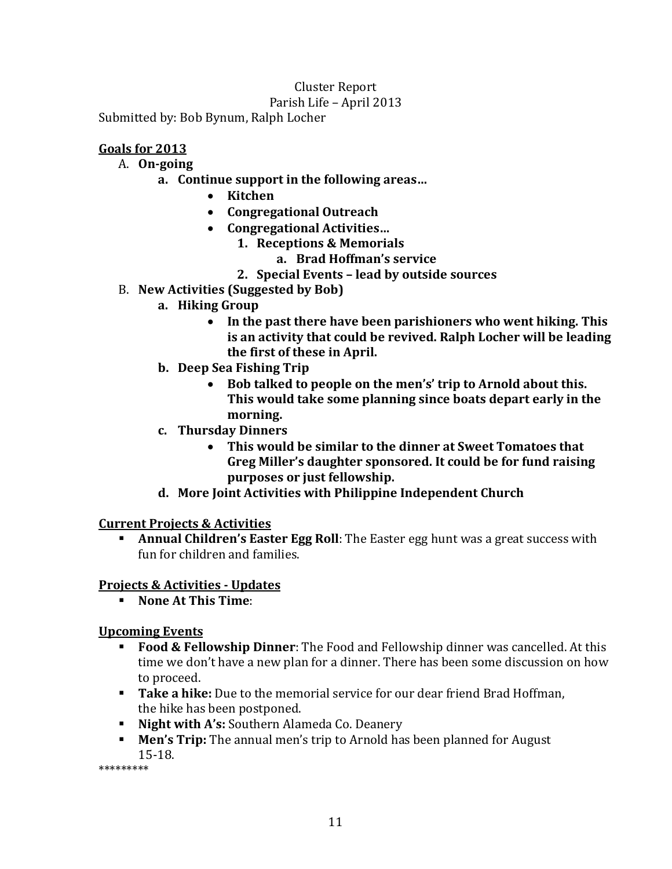## Cluster Report

#### Parish Life – April 2013

Submitted by: Bob Bynum, Ralph Locher

## **Goals for 2013**

## A. **On-going**

- **a. Continue support in the following areas…**
	- **Kitchen**
	- **Congregational Outreach**
	- **Congregational Activities…**
		- **1. Receptions & Memorials**
			- **a. Brad Hoffman's service**
		- **2. Special Events – lead by outside sources**
- B. **New Activities (Suggested by Bob)**
	- **a. Hiking Group**
		- **In the past there have been parishioners who went hiking. This is an activity that could be revived. Ralph Locher will be leading the first of these in April.**
	- **b. Deep Sea Fishing Trip**
		- **Bob talked to people on the men's' trip to Arnold about this. This would take some planning since boats depart early in the morning.**
	- **c. Thursday Dinners**
		- **This would be similar to the dinner at Sweet Tomatoes that Greg Miller's daughter sponsored. It could be for fund raising purposes or just fellowship.**
	- **d. More Joint Activities with Philippine Independent Church**

#### **Current Projects & Activities**

**Annual Children's Easter Egg Roll**: The Easter egg hunt was a great success with fun for children and families.

## **Projects & Activities - Updates**

**None At This Time**:

#### **Upcoming Events**

- **Food & Fellowship Dinner**: The Food and Fellowship dinner was cancelled. At this time we don't have a new plan for a dinner. There has been some discussion on how to proceed.
- **Take a hike:** Due to the memorial service for our dear friend Brad Hoffman, the hike has been postponed.
- **Night with A's:** Southern Alameda Co. Deanery
- **Men's Trip:** The annual men's trip to Arnold has been planned for August 15-18.

\*\*\*\*\*\*\*\*\*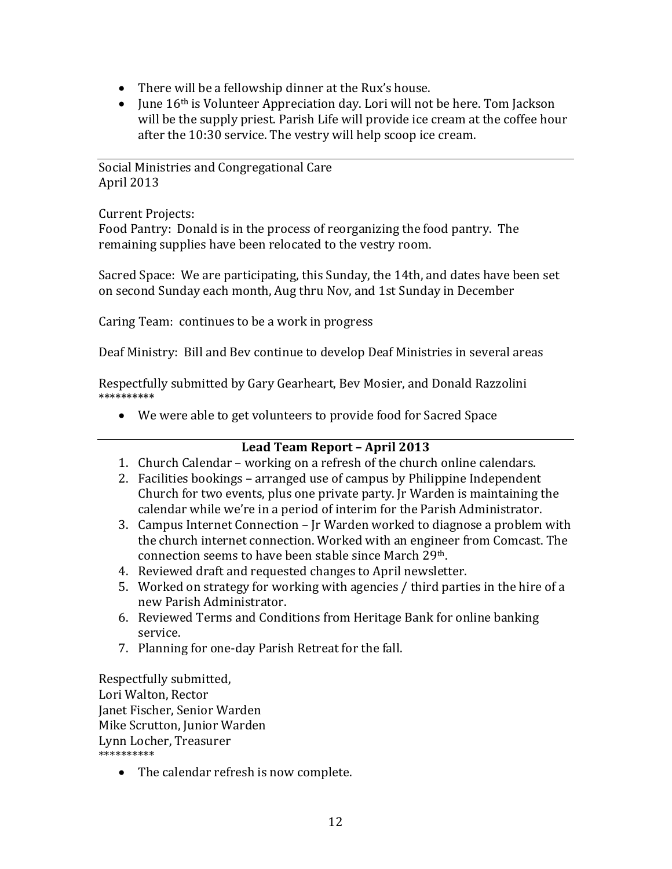- There will be a fellowship dinner at the Rux's house.
- June 16<sup>th</sup> is Volunteer Appreciation day. Lori will not be here. Tom Jackson will be the supply priest. Parish Life will provide ice cream at the coffee hour after the 10:30 service. The vestry will help scoop ice cream.

Social Ministries and Congregational Care April 2013

Current Projects:

Food Pantry: Donald is in the process of reorganizing the food pantry. The remaining supplies have been relocated to the vestry room.

Sacred Space: We are participating, this Sunday, the 14th, and dates have been set on second Sunday each month, Aug thru Nov, and 1st Sunday in December

Caring Team: continues to be a work in progress

Deaf Ministry: Bill and Bev continue to develop Deaf Ministries in several areas

Respectfully submitted by Gary Gearheart, Bev Mosier, and Donald Razzolini \*\*\*\*\*\*\*\*\*\*

• We were able to get volunteers to provide food for Sacred Space

## **Lead Team Report – April 2013**

- 1. Church Calendar working on a refresh of the church online calendars.
- 2. Facilities bookings arranged use of campus by Philippine Independent Church for two events, plus one private party. Jr Warden is maintaining the calendar while we're in a period of interim for the Parish Administrator.
- 3. Campus Internet Connection Jr Warden worked to diagnose a problem with the church internet connection. Worked with an engineer from Comcast. The connection seems to have been stable since March 29th.
- 4. Reviewed draft and requested changes to April newsletter.
- 5. Worked on strategy for working with agencies / third parties in the hire of a new Parish Administrator.
- 6. Reviewed Terms and Conditions from Heritage Bank for online banking service.
- 7. Planning for one-day Parish Retreat for the fall.

Respectfully submitted, Lori Walton, Rector Janet Fischer, Senior Warden Mike Scrutton, Junior Warden Lynn Locher, Treasurer \*\*\*\*\*\*\*\*\*\*

• The calendar refresh is now complete.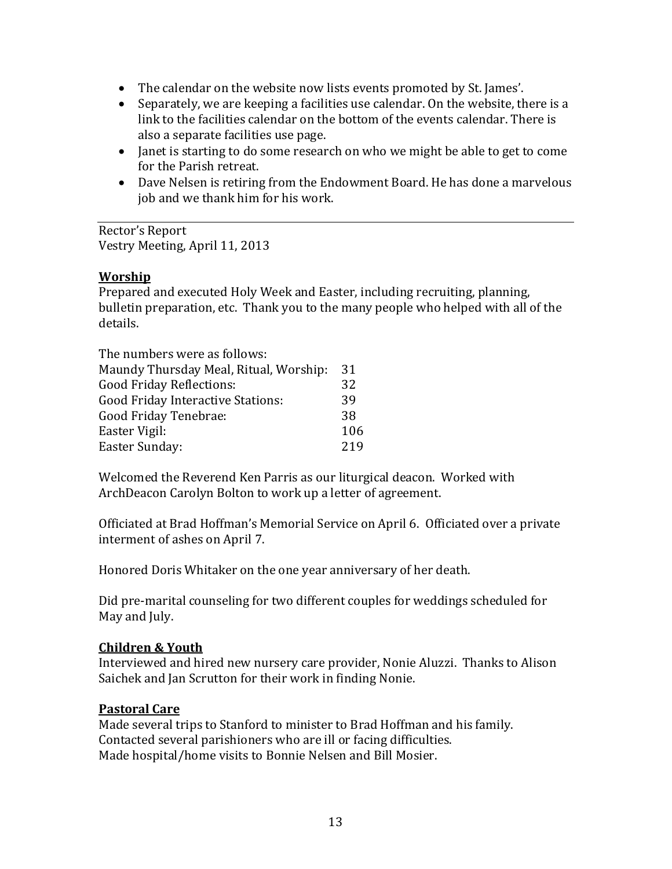- The calendar on the website now lists events promoted by St. James'.
- Separately, we are keeping a facilities use calendar. On the website, there is a link to the facilities calendar on the bottom of the events calendar. There is also a separate facilities use page.
- Janet is starting to do some research on who we might be able to get to come for the Parish retreat.
- Dave Nelsen is retiring from the Endowment Board. He has done a marvelous job and we thank him for his work.

Rector's Report Vestry Meeting, April 11, 2013

#### **Worship**

Prepared and executed Holy Week and Easter, including recruiting, planning, bulletin preparation, etc. Thank you to the many people who helped with all of the details.

| The numbers were as follows:           |     |
|----------------------------------------|-----|
| Maundy Thursday Meal, Ritual, Worship: | 31  |
| <b>Good Friday Reflections:</b>        | 32  |
| Good Friday Interactive Stations:      | 39  |
| Good Friday Tenebrae:                  | 38  |
| Easter Vigil:                          | 106 |
| Easter Sunday:                         | 219 |
|                                        |     |

Welcomed the Reverend Ken Parris as our liturgical deacon. Worked with ArchDeacon Carolyn Bolton to work up a letter of agreement.

Officiated at Brad Hoffman's Memorial Service on April 6. Officiated over a private interment of ashes on April 7.

Honored Doris Whitaker on the one year anniversary of her death.

Did pre-marital counseling for two different couples for weddings scheduled for May and July.

#### **Children & Youth**

Interviewed and hired new nursery care provider, Nonie Aluzzi. Thanks to Alison Saichek and Jan Scrutton for their work in finding Nonie.

#### **Pastoral Care**

Made several trips to Stanford to minister to Brad Hoffman and his family. Contacted several parishioners who are ill or facing difficulties. Made hospital/home visits to Bonnie Nelsen and Bill Mosier.